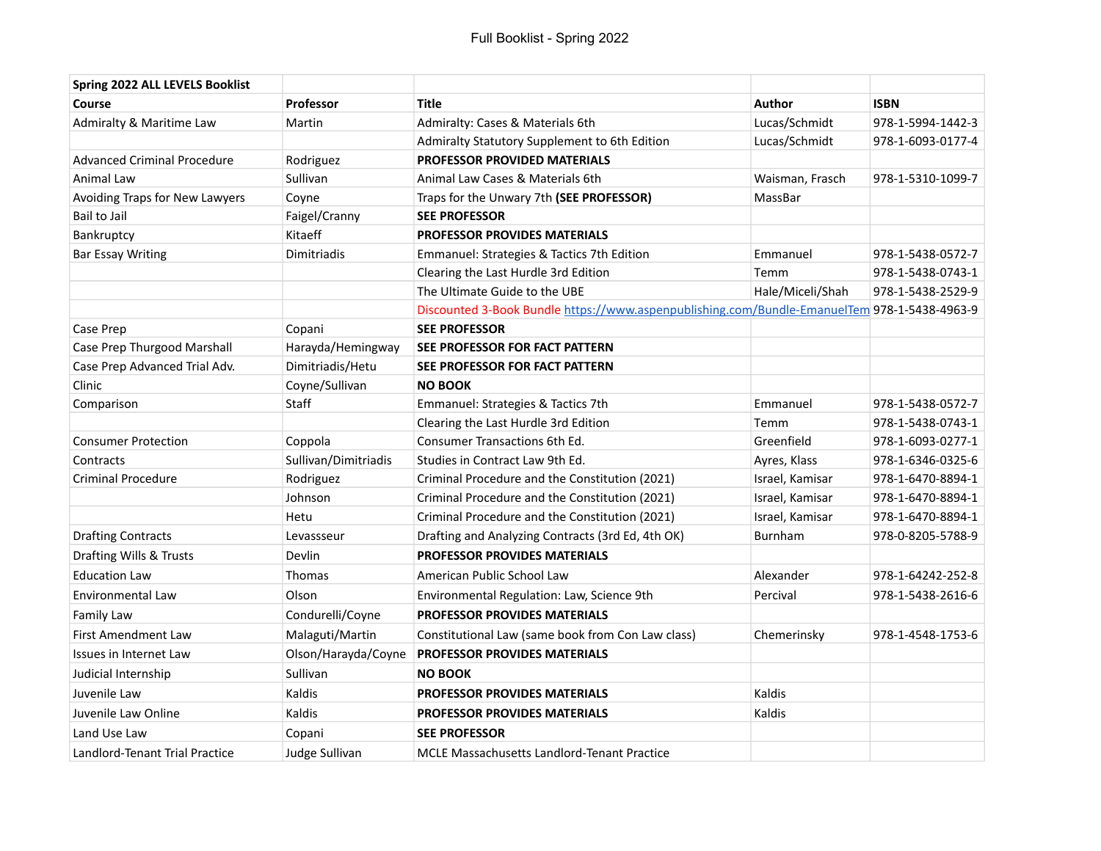| Spring 2022 ALL LEVELS Booklist    |                      |                                                                                              |                  |                   |
|------------------------------------|----------------------|----------------------------------------------------------------------------------------------|------------------|-------------------|
| Course                             | <b>Professor</b>     | <b>Title</b>                                                                                 | <b>Author</b>    | <b>ISBN</b>       |
| Admiralty & Maritime Law           | Martin               | Admiralty: Cases & Materials 6th                                                             | Lucas/Schmidt    | 978-1-5994-1442-3 |
|                                    |                      | Admiralty Statutory Supplement to 6th Edition                                                | Lucas/Schmidt    | 978-1-6093-0177-4 |
| <b>Advanced Criminal Procedure</b> | Rodriguez            | PROFESSOR PROVIDED MATERIALS                                                                 |                  |                   |
| Animal Law                         | Sullivan             | Animal Law Cases & Materials 6th                                                             | Waisman, Frasch  | 978-1-5310-1099-7 |
| Avoiding Traps for New Lawyers     | Coyne                | Traps for the Unwary 7th (SEE PROFESSOR)                                                     | MassBar          |                   |
| <b>Bail to Jail</b>                | Faigel/Cranny        | <b>SEE PROFESSOR</b>                                                                         |                  |                   |
| Bankruptcy                         | Kitaeff              | <b>PROFESSOR PROVIDES MATERIALS</b>                                                          |                  |                   |
| <b>Bar Essay Writing</b>           | Dimitriadis          | Emmanuel: Strategies & Tactics 7th Edition                                                   | Emmanuel         | 978-1-5438-0572-7 |
|                                    |                      | Clearing the Last Hurdle 3rd Edition                                                         | Temm             | 978-1-5438-0743-1 |
|                                    |                      | The Ultimate Guide to the UBE                                                                | Hale/Miceli/Shah | 978-1-5438-2529-9 |
|                                    |                      | Discounted 3-Book Bundle https://www.aspenpublishing.com/Bundle-EmanuelTem 978-1-5438-4963-9 |                  |                   |
| Case Prep                          | Copani               | <b>SEE PROFESSOR</b>                                                                         |                  |                   |
| Case Prep Thurgood Marshall        | Harayda/Hemingway    | SEE PROFESSOR FOR FACT PATTERN                                                               |                  |                   |
| Case Prep Advanced Trial Adv.      | Dimitriadis/Hetu     | SEE PROFESSOR FOR FACT PATTERN                                                               |                  |                   |
| Clinic                             | Coyne/Sullivan       | <b>NO BOOK</b>                                                                               |                  |                   |
| Comparison                         | Staff                | Emmanuel: Strategies & Tactics 7th                                                           | Emmanuel         | 978-1-5438-0572-7 |
|                                    |                      | Clearing the Last Hurdle 3rd Edition                                                         | Temm             | 978-1-5438-0743-1 |
| <b>Consumer Protection</b>         | Coppola              | Consumer Transactions 6th Ed.                                                                | Greenfield       | 978-1-6093-0277-1 |
| Contracts                          | Sullivan/Dimitriadis | Studies in Contract Law 9th Ed.                                                              | Ayres, Klass     | 978-1-6346-0325-6 |
| <b>Criminal Procedure</b>          | Rodriguez            | Criminal Procedure and the Constitution (2021)                                               | Israel, Kamisar  | 978-1-6470-8894-1 |
|                                    | Johnson              | Criminal Procedure and the Constitution (2021)                                               | Israel, Kamisar  | 978-1-6470-8894-1 |
|                                    | Hetu                 | Criminal Procedure and the Constitution (2021)                                               | Israel, Kamisar  | 978-1-6470-8894-1 |
| <b>Drafting Contracts</b>          | Levassseur           | Drafting and Analyzing Contracts (3rd Ed, 4th OK)                                            | Burnham          | 978-0-8205-5788-9 |
| Drafting Wills & Trusts            | Devlin               | <b>PROFESSOR PROVIDES MATERIALS</b>                                                          |                  |                   |
| <b>Education Law</b>               | Thomas               | American Public School Law                                                                   | Alexander        | 978-1-64242-252-8 |
| Environmental Law                  | Olson                | Environmental Regulation: Law, Science 9th                                                   | Percival         | 978-1-5438-2616-6 |
| <b>Family Law</b>                  | Condurelli/Coyne     | <b>PROFESSOR PROVIDES MATERIALS</b>                                                          |                  |                   |
| First Amendment Law                | Malaguti/Martin      | Constitutional Law (same book from Con Law class)                                            | Chemerinsky      | 978-1-4548-1753-6 |
| Issues in Internet Law             | Olson/Harayda/Coyne  | <b>PROFESSOR PROVIDES MATERIALS</b>                                                          |                  |                   |
| Judicial Internship                | Sullivan             | <b>NO BOOK</b>                                                                               |                  |                   |
| Juvenile Law                       | Kaldis               | <b>PROFESSOR PROVIDES MATERIALS</b>                                                          | Kaldis           |                   |
| Juvenile Law Online                | Kaldis               | <b>PROFESSOR PROVIDES MATERIALS</b>                                                          | Kaldis           |                   |
| Land Use Law                       | Copani               | <b>SEE PROFESSOR</b>                                                                         |                  |                   |
| Landlord-Tenant Trial Practice     | Judge Sullivan       | <b>MCLE Massachusetts Landlord-Tenant Practice</b>                                           |                  |                   |